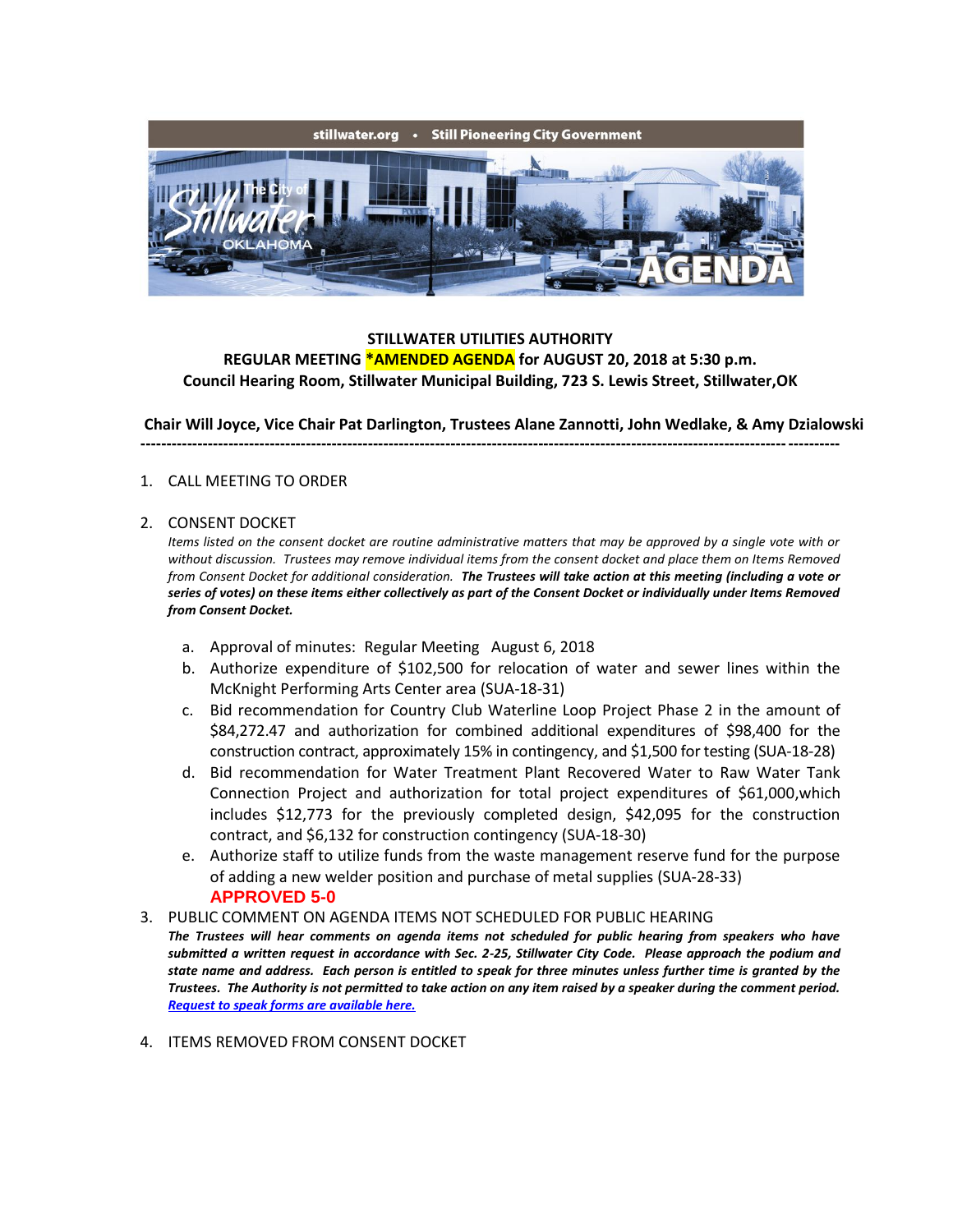

## **STILLWATER UTILITIES AUTHORITY REGULAR MEETING \*AMENDED AGENDA for AUGUST 20, 2018 at 5:30 p.m. Council Hearing Room, Stillwater Municipal Building, 723 S. Lewis Street, Stillwater,OK**

**Chair Will Joyce, Vice Chair Pat Darlington, Trustees Alane Zannotti, John Wedlake, & Amy Dzialowski**

**---------------------------------------------------------------------------------------------------------------------------------------**

## 1. CALL MEETING TO ORDER

## 2. CONSENT DOCKET

*Items listed on the consent docket are routine administrative matters that may be approved by a single vote with or without discussion. Trustees may remove individual items from the consent docket and place them on Items Removed from Consent Docket for additional consideration. The Trustees will take action at this meeting (including a vote or series of votes) on these items either collectively as part of the Consent Docket or individually under Items Removed from Consent Docket.*

- a. Approval of minutes: Regular Meeting August 6, 2018
- b. Authorize expenditure of \$102,500 for relocation of water and sewer lines within the McKnight Performing Arts Center area (SUA-18-31)
- c. Bid recommendation for Country Club Waterline Loop Project Phase 2 in the amount of \$84,272.47 and authorization for combined additional expenditures of \$98,400 for the construction contract, approximately 15% in contingency, and \$1,500 for testing (SUA-18-28)
- d. Bid recommendation for Water Treatment Plant Recovered Water to Raw Water Tank Connection Project and authorization for total project expenditures of \$61,000,which includes \$12,773 for the previously completed design, \$42,095 for the construction contract, and \$6,132 for construction contingency (SUA-18-30)
- e. Authorize staff to utilize funds from the waste management reserve fund for the purpose of adding a new welder position and purchase of metal supplies (SUA-28-33) **APPROVED 5-0**

## 3. PUBLIC COMMENT ON AGENDA ITEMS NOT SCHEDULED FOR PUBLIC HEARING

- *The Trustees will hear comments on agenda items not scheduled for public hearing from speakers who have submitted a written request in accordance with Sec. 2-25, Stillwater City Code. Please approach the podium and state name and address. Each person is entitled to speak for three minutes unless further time is granted by the Trustees. The Authority is not permitted to take action on any item raised by a speaker during the comment period. [Request to speak forms are available here.](http://stillwater.org/document/request_to_speak_at_city_council.php)*
- 4. ITEMS REMOVED FROM CONSENT DOCKET